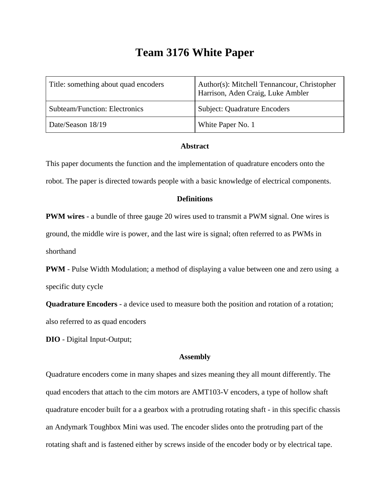# **Team 3176 White Paper**

| Title: something about quad encoders | Author(s): Mitchell Tennancour, Christopher<br>Harrison, Aden Craig, Luke Ambler |  |
|--------------------------------------|----------------------------------------------------------------------------------|--|
| <b>Subteam/Function: Electronics</b> | <b>Subject: Quadrature Encoders</b>                                              |  |
| Date/Season 18/19                    | White Paper No. 1                                                                |  |

#### **Abstract**

This paper documents the function and the implementation of quadrature encoders onto the robot. The paper is directed towards people with a basic knowledge of electrical components.

## **Definitions**

**PWM wires** - a bundle of three gauge 20 wires used to transmit a PWM signal. One wires is ground, the middle wire is power, and the last wire is signal; often referred to as PWMs in shorthand

**PWM** - Pulse Width Modulation; a method of displaying a value between one and zero using a specific duty cycle

**Quadrature Encoders** - a device used to measure both the position and rotation of a rotation; also referred to as quad encoders

**DIO** - Digital Input-Output;

### **Assembly**

Quadrature encoders come in many shapes and sizes meaning they all mount differently. The quad encoders that attach to the cim motors are AMT103-V encoders, a type of hollow shaft quadrature encoder built for a a gearbox with a protruding rotating shaft - in this specific chassis an Andymark Toughbox Mini was used. The encoder slides onto the protruding part of the rotating shaft and is fastened either by screws inside of the encoder body or by electrical tape.